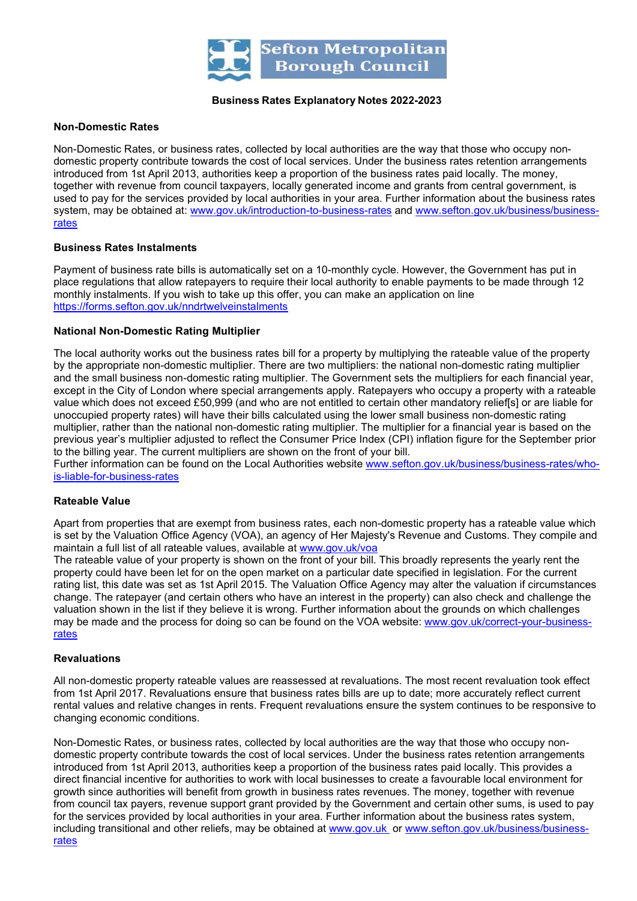

## Business Rates Explanatory Notes 2022-2023

#### Non-Domestic Rates

 Non-Domestic Rates, or business rates, collected by local authorities are the way that those who occupy non- domestic property contribute towards the cost of local services. Under the business rates retention arrangements introduced from 1st April 2013, authorities keep a proportion of the business rates paid locally. The money, together with revenue from council taxpayers, locally generated income and grants from central government, is used to pay for the services provided by local authorities in your area. Further information about the business rates system, may be obtained at: <u>www.gov.uk/introduction-to-business-rates</u> and <u>www.sefton.gov.uk/business/business-</u> rates

## Business Rates Instalments

 Payment of business rate bills is automatically set on a 10-monthly cycle. However, the Government has put in place regulations that allow ratepayers to require their local authority to enable payments to be made through 12 monthly instalments. If you wish to take up this offer, you can make an application on line https://forms.sefton.gov.uk/nndrtwelveinstalments

# National Non-Domestic Rating Multiplier

 The local authority works out the business rates bill for a property by multiplying the rateable value of the property by the appropriate non-domestic multiplier. There are two multipliers: the national non-domestic rating multiplier and the small business non-domestic rating multiplier. The Government sets the multipliers for each financial year, except in the City of London where special arrangements apply. Ratepayers who occupy a property with a rateable value which does not exceed £50,999 (and who are not entitled to certain other mandatory relief[s] or are liable for unoccupied property rates) will have their bills calculated using the lower small business non-domestic rating multiplier, rather than the national non-domestic rating multiplier. The multiplier for a financial year is based on the previous year's multiplier adjusted to reflect the Consumer Price Index (CPI) inflation figure for the September prior to the billing year. The current multipliers are shown on the front of your bill.

Further information can be found on the Local Authorities website www.sefton.gov.uk/business/business-rates/whois-liable-for-business-rates

#### Rateable Value

 Apart from properties that are exempt from business rates, each non-domestic property has a rateable value which is set by the Valuation Office Agency (VOA), an agency of Her Majesty's Revenue and Customs. They compile and maintain a full list of all rateable values, available at www.gov.uk/voa

 The rateable value of your property is shown on the front of your bill. This broadly represents the yearly rent the property could have been let for on the open market on a particular date specified in legislation. For the current rating list, this date was set as 1st April 2015. The Valuation Office Agency may alter the valuation if circumstances change. The ratepayer (and certain others who have an interest in the property) can also check and challenge the valuation shown in the list if they believe it is wrong. Further information about the grounds on which challenges may be made and the process for doing so can be found on the VOA website: www.gov.uk/correct-your-businessrates

#### Revaluations

 All non-domestic property rateable values are reassessed at revaluations. The most recent revaluation took effect from 1st April 2017. Revaluations ensure that business rates bills are up to date; more accurately reflect current rental values and relative changes in rents. Frequent revaluations ensure the system continues to be responsive to changing economic conditions.

 Non-Domestic Rates, or business rates, collected by local authorities are the way that those who occupy non- domestic property contribute towards the cost of local services. Under the business rates retention arrangements introduced from 1st April 2013, authorities keep a proportion of the business rates paid locally. This provides a direct financial incentive for authorities to work with local businesses to create a favourable local environment for growth since authorities will benefit from growth in business rates revenues. The money, together with revenue from council tax payers, revenue support grant provided by the Government and certain other sums, is used to pay for the services provided by local authorities in your area. Further information about the business rates system, including transitional and other reliefs, may be obtained at <u>www.gov.uk</u>\_or <u>www.sefton.gov.uk/business/business-</u> rates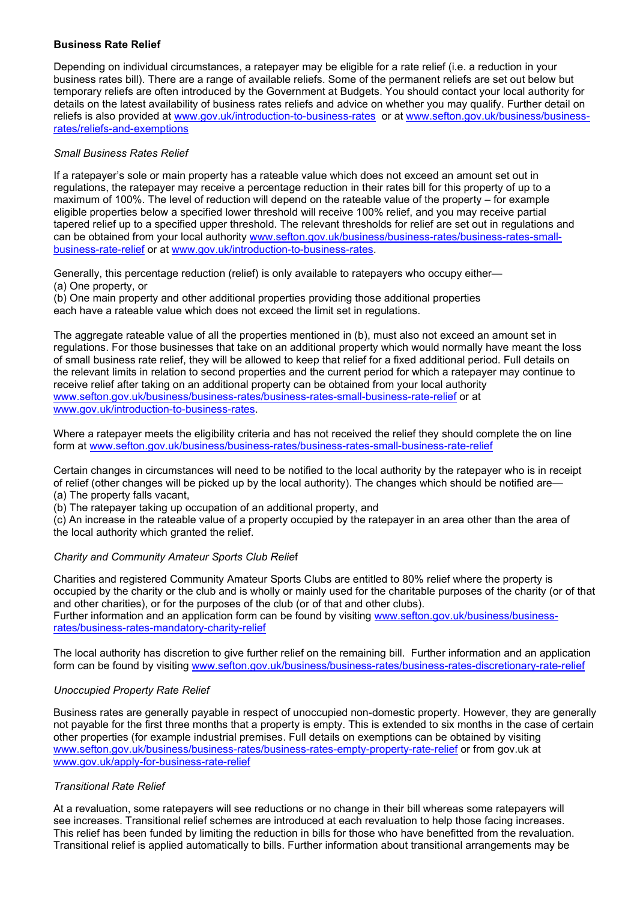# Business Rate Relief

Depending on individual circumstances, a ratepayer may be eligible for a rate relief (i.e. a reduction in your business rates bill). There are a range of available reliefs. Some of the permanent reliefs are set out below but temporary reliefs are often introduced by the Government at Budgets. You should contact your local authority for details on the latest availability of business rates reliefs and advice on whether you may qualify. Further detail on reliefs is also provided at www.gov.uk/introduction-to-business-rates or at www.sefton.gov.uk/business/businessrates/reliefs-and-exemptions

# Small Business Rates Relief

If a ratepayer's sole or main property has a rateable value which does not exceed an amount set out in regulations, the ratepayer may receive a percentage reduction in their rates bill for this property of up to a maximum of 100%. The level of reduction will depend on the rateable value of the property – for example eligible properties below a specified lower threshold will receive 100% relief, and you may receive partial tapered relief up to a specified upper threshold. The relevant thresholds for relief are set out in regulations and can be obtained from your local authority www.sefton.gov.uk/business/business-rates/business-rates-smallbusiness-rate-relief or at www.gov.uk/introduction-to-business-rates.

Generally, this percentage reduction (relief) is only available to ratepayers who occupy either—

(a) One property, or

(b) One main property and other additional properties providing those additional properties each have a rateable value which does not exceed the limit set in regulations.

The aggregate rateable value of all the properties mentioned in (b), must also not exceed an amount set in regulations. For those businesses that take on an additional property which would normally have meant the loss of small business rate relief, they will be allowed to keep that relief for a fixed additional period. Full details on the relevant limits in relation to second properties and the current period for which a ratepayer may continue to receive relief after taking on an additional property can be obtained from your local authority www.sefton.gov.uk/business/business-rates/business-rates-small-business-rate-relief or at www.gov.uk/introduction-to-business-rates.

Where a ratepayer meets the eligibility criteria and has not received the relief they should complete the on line form at www.sefton.gov.uk/business/business-rates/business-rates-small-business-rate-relief

Certain changes in circumstances will need to be notified to the local authority by the ratepayer who is in receipt of relief (other changes will be picked up by the local authority). The changes which should be notified are—

- (a) The property falls vacant,
- (b) The ratepayer taking up occupation of an additional property, and

(c) An increase in the rateable value of a property occupied by the ratepayer in an area other than the area of the local authority which granted the relief.

# Charity and Community Amateur Sports Club Relief

Charities and registered Community Amateur Sports Clubs are entitled to 80% relief where the property is occupied by the charity or the club and is wholly or mainly used for the charitable purposes of the charity (or of that and other charities), or for the purposes of the club (or of that and other clubs). Further information and an application form can be found by visiting www.sefton.gov.uk/business/businessrates/business-rates-mandatory-charity-relief

The local authority has discretion to give further relief on the remaining bill. Further information and an application form can be found by visiting www.sefton.gov.uk/business/business-rates/business-rates-discretionary-rate-relief

# Unoccupied Property Rate Relief

Business rates are generally payable in respect of unoccupied non-domestic property. However, they are generally not payable for the first three months that a property is empty. This is extended to six months in the case of certain other properties (for example industrial premises. Full details on exemptions can be obtained by visiting www.sefton.gov.uk/business/business-rates/business-rates-empty-property-rate-relief or from gov.uk at www.gov.uk/apply-for-business-rate-relief

# Transitional Rate Relief

At a revaluation, some ratepayers will see reductions or no change in their bill whereas some ratepayers will see increases. Transitional relief schemes are introduced at each revaluation to help those facing increases. This relief has been funded by limiting the reduction in bills for those who have benefitted from the revaluation. Transitional relief is applied automatically to bills. Further information about transitional arrangements may be